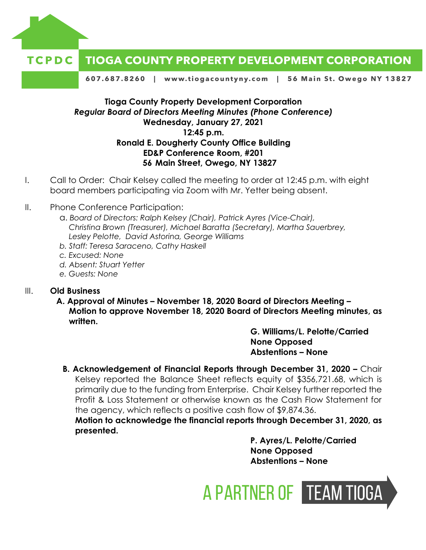



607.687.8260 | www.tiogacountyny.com | 56 Main St. Owego NY 13827

## **Tioga County Property Development Corporation** *Regular Board of Directors Meeting Minutes (Phone Conference)* **Wednesday, January 27, 2021 12:45 p.m. Ronald E. Dougherty County Office Building ED&P Conference Room, #201 56 Main Street, Owego, NY 13827**

- I. Call to Order: Chair Kelsey called the meeting to order at 12:45 p.m. with eight board members participating via Zoom with Mr. Yetter being absent.
- II. Phone Conference Participation:
	- a. *Board of Directors: Ralph Kelsey (Chair), Patrick Ayres (Vice-Chair), Christina Brown (Treasurer), Michael Baratta (Secretary), Martha Sauerbrey, Lesley Pelotte, David Astorina, George Williams*
	- *b. Staff: Teresa Saraceno, Cathy Haskell*
	- *c. Excused: None*
	- *d. Absent: Stuart Yetter*
	- *e. Guests: None*

## III. **Old Business**

**A. Approval of Minutes – November 18, 2020 Board of Directors Meeting – Motion to approve November 18, 2020 Board of Directors Meeting minutes, as written.** 

> **G. Williams/L. Pelotte/Carried None Opposed Abstentions – None**

**B. Acknowledgement of Financial Reports through December 31, 2020 –** Chair Kelsey reported the Balance Sheet reflects equity of \$356,721.68, which is primarily due to the funding from Enterprise. Chair Kelsey further reported the Profit & Loss Statement or otherwise known as the Cash Flow Statement for the agency, which reflects a positive cash flow of \$9,874.36.

**Motion to acknowledge the financial reports through December 31, 2020, as presented.** 

> **P. Ayres/L. Pelotte/Carried None Opposed Abstentions – None**

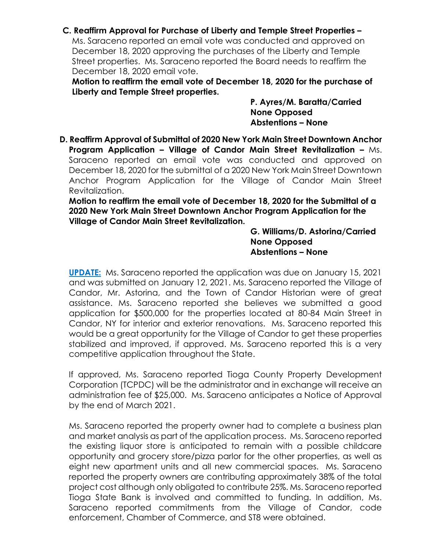## **C. Reaffirm Approval for Purchase of Liberty and Temple Street Properties –**

Ms. Saraceno reported an email vote was conducted and approved on December 18, 2020 approving the purchases of the Liberty and Temple Street properties. Ms. Saraceno reported the Board needs to reaffirm the December 18, 2020 email vote.

**Motion to reaffirm the email vote of December 18, 2020 for the purchase of Liberty and Temple Street properties.**

> **P. Ayres/M. Baratta/Carried None Opposed Abstentions – None**

**D. Reaffirm Approval of Submittal of 2020 New York Main Street Downtown Anchor Program Application – Village of Candor Main Street Revitalization –** Ms. Saraceno reported an email vote was conducted and approved on December 18, 2020 for the submittal of a 2020 New York Main Street Downtown Anchor Program Application for the Village of Candor Main Street Revitalization.

**Motion to reaffirm the email vote of December 18, 2020 for the Submittal of a 2020 New York Main Street Downtown Anchor Program Application for the Village of Candor Main Street Revitalization.** 

> **G. Williams/D. Astorina/Carried None Opposed Abstentions – None**

**UPDATE:** Ms. Saraceno reported the application was due on January 15, 2021 and was submitted on January 12, 2021. Ms. Saraceno reported the Village of Candor, Mr. Astorina, and the Town of Candor Historian were of great assistance. Ms. Saraceno reported she believes we submitted a good application for \$500,000 for the properties located at 80-84 Main Street in Candor, NY for interior and exterior renovations. Ms. Saraceno reported this would be a great opportunity for the Village of Candor to get these properties stabilized and improved, if approved. Ms. Saraceno reported this is a very competitive application throughout the State.

If approved, Ms. Saraceno reported Tioga County Property Development Corporation (TCPDC) will be the administrator and in exchange will receive an administration fee of \$25,000. Ms. Saraceno anticipates a Notice of Approval by the end of March 2021.

Ms. Saraceno reported the property owner had to complete a business plan and market analysis as part of the application process. Ms. Saraceno reported the existing liquor store is anticipated to remain with a possible childcare opportunity and grocery store/pizza parlor for the other properties, as well as eight new apartment units and all new commercial spaces. Ms. Saraceno reported the property owners are contributing approximately 38% of the total project cost although only obligated to contribute 25%. Ms. Saraceno reported Tioga State Bank is involved and committed to funding. In addition, Ms. Saraceno reported commitments from the Village of Candor, code enforcement, Chamber of Commerce, and ST8 were obtained.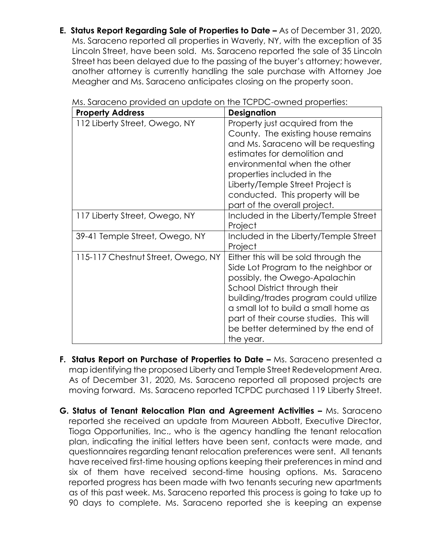**E. Status Report Regarding Sale of Properties to Date –** As of December 31, 2020, Ms. Saraceno reported all properties in Waverly, NY, with the exception of 35 Lincoln Street, have been sold. Ms. Saraceno reported the sale of 35 Lincoln Street has been delayed due to the passing of the buyer's attorney; however, another attorney is currently handling the sale purchase with Attorney Joe Meagher and Ms. Saraceno anticipates closing on the property soon.

| <b>Property Address</b>            | <b>Designation</b>                                                                                                                                                                                                                                                                                                           |
|------------------------------------|------------------------------------------------------------------------------------------------------------------------------------------------------------------------------------------------------------------------------------------------------------------------------------------------------------------------------|
| 112 Liberty Street, Owego, NY      | Property just acquired from the<br>County. The existing house remains<br>and Ms. Saraceno will be requesting<br>estimates for demolition and<br>environmental when the other<br>properties included in the<br>Liberty/Temple Street Project is<br>conducted. This property will be<br>part of the overall project.           |
| 117 Liberty Street, Owego, NY      | Included in the Liberty/Temple Street<br>Project                                                                                                                                                                                                                                                                             |
| 39-41 Temple Street, Owego, NY     | Included in the Liberty/Temple Street<br>Project                                                                                                                                                                                                                                                                             |
| 115-117 Chestnut Street, Owego, NY | Either this will be sold through the<br>Side Lot Program to the neighbor or<br>possibly, the Owego-Apalachin<br>School District through their<br>building/trades program could utilize<br>a small lot to build a small home as<br>part of their course studies. This will<br>be better determined by the end of<br>the year. |

Ms. Saraceno provided an update on the TCPDC-owned properties:

- **F. Status Report on Purchase of Properties to Date Ms. Saraceno presented a** map identifying the proposed Liberty and Temple Street Redevelopment Area. As of December 31, 2020, Ms. Saraceno reported all proposed projects are moving forward. Ms. Saraceno reported TCPDC purchased 119 Liberty Street.
- **G. Status of Tenant Relocation Plan and Agreement Activities Ms. Saraceno** reported she received an update from Maureen Abbott, Executive Director, Tioga Opportunities, Inc., who is the agency handling the tenant relocation plan, indicating the initial letters have been sent, contacts were made, and questionnaires regarding tenant relocation preferences were sent. All tenants have received first-time housing options keeping their preferences in mind and six of them have received second-time housing options. Ms. Saraceno reported progress has been made with two tenants securing new apartments as of this past week. Ms. Saraceno reported this process is going to take up to 90 days to complete. Ms. Saraceno reported she is keeping an expense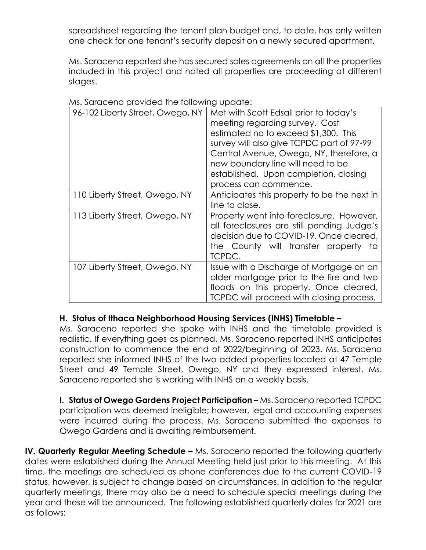spreadsheet regarding the tenant plan budget and, to date, has only written one check for one tenant's security deposit on a newly secured apartment.

Ms. Saraceno reported she has secured sales agreements on all the properties included in this project and noted all properties are proceeding at different stages.

| 96-102 Liberty Street, Owego, NY | Met with Scott Edsall prior to today's<br>meeting regarding survey. Cost<br>estimated no to exceed \$1,300. This<br>survey will also give TCPDC part of 97-99<br>Central Avenue, Owego, NY, therefore, a<br>new boundary line will need to be<br>established. Upon completion, closing<br>process can commence. |
|----------------------------------|-----------------------------------------------------------------------------------------------------------------------------------------------------------------------------------------------------------------------------------------------------------------------------------------------------------------|
| 110 Liberty Street, Owego, NY    | Anticipates this property to be the next in<br>line to close.                                                                                                                                                                                                                                                   |
| 113 Liberty Street, Owego, NY    | Property went into foreclosure. However,<br>all foreclosures are still pending Judge's<br>decision due to COVID-19. Once cleared,<br>the County will transfer property to<br>TCPDC.                                                                                                                             |
| 107 Liberty Street, Owego, NY    | Issue with a Discharge of Mortgage on an<br>older mortgage prior to the fire and two<br>floods on this property. Once cleared,<br>TCPDC will proceed with closing process.                                                                                                                                      |

Ms. Saraceno provided the following update:

## **H. Status of Ithaca Neighborhood Housing Services (INHS) Timetable –**

Ms. Saraceno reported she spoke with INHS and the timetable provided is realistic. If everything goes as planned, Ms. Saraceno reported INHS anticipates construction to commence the end of 2022/beginning of 2023. Ms. Saraceno reported she informed INHS of the two added properties located at 47 Temple Street and 49 Temple Street, Owego, NY and they expressed interest. Ms. Saraceno reported she is working with INHS on a weekly basis.

**I. Status of Owego Gardens Project Participation –** Ms. Saraceno reported TCPDC participation was deemed ineligible; however, legal and accounting expenses were incurred during the process. Ms. Saraceno submitted the expenses to Owego Gardens and is awaiting reimbursement.

**IV. Quarterly Regular Meeting Schedule –** Ms. Saraceno reported the following quarterly dates were established during the Annual Meeting held just prior to this meeting. At this time, the meetings are scheduled as phone conferences due to the current COVID-19 status, however, is subject to change based on circumstances. In addition to the regular quarterly meetings, there may also be a need to schedule special meetings during the year and these will be announced. The following established quarterly dates for 2021 are as follows: